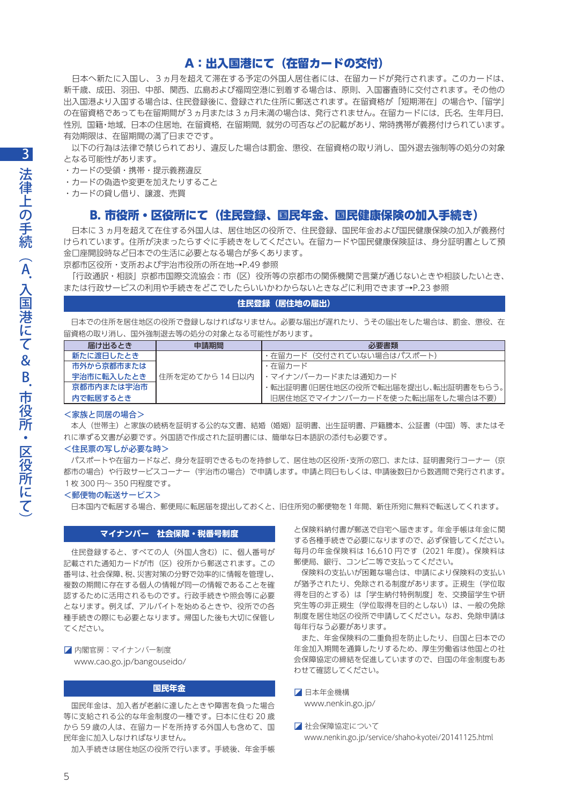# A:出入国港にて(在留カードの交付)

 日本へ新たに入国し、3ヵ月を超えて滞在する予定の外国人居住者には、在留カードが発行されます。このカードは、 新千歳、成田、羽田、中部、関西、広島および福岡空港に到着する場合は、原則、入国審査時に交付されます。その他の 出入国港より入国する場合は、住民登録後に、登録された住所に郵送されます。在留資格が「短期滞在」の場合や、「留学」 の在留資格であっても在留期間が3ヵ月または3ヵ月未満の場合は、発行されません。在留カードには、氏名,生年月日, 性別,国籍・地域,日本の住居地,在留資格,在留期間,就労の可否などの記載があり、常時携帯が義務付けられています。 有効期限は、在留期間の満了日までです。

 以下の行為は法律で禁じられており、違反した場合は罰金、懲役、在留資格の取り消し、国外退去強制等の処分の対象 となる可能性があります。

・カードの受領・携帯・提示義務違反

・カードの偽造や変更を加えたりすること

・カードの貸し借り、譲渡、売買

# B. 市役所・区役所にて(住民登録、国民年金、国民健康保険の加入手続き)

 日本に 3 ヵ月を超えて在住する外国人は、居住地区の役所で、住民登録、国民年金および国民健康保険の加入が義務付 けられています。住所が決まったらすぐに手続きをしてください。在留カードや国民健康保険証は、身分証明書として預 金口座開設時など日本での生活に必要となる場合が多くあります。

京都市区役所・支所および宇治市役所の所在地→P.49 参照

 「行政通訳・相談」京都市国際交流協会:市(区)役所等の京都市の関係機関で言葉が通じないときや相談したいとき、 または行政サービスの利用や手続きをどこでしたらいいかわからないときなどに利用できます→P.23 参照

### **住民登録(居住地の届出)**

 日本での住所を居住地区の役所で登録しなければなりません。必要な届出が遅れたり、うその届出をした場合は、罰金、懲役、在 留資格の取り消し、国外強制退去等の処分の対象となる可能性があります。

| 届け出るとき     | 申請期間              | 必要書類                               |
|------------|-------------------|------------------------------------|
| 新たに渡日したとき  |                   | ・在留カード(交付されていない場合はパスポート)           |
| 市外から京都市または |                   | ・在留カード                             |
| 宇治市に転入したとき | 「住所を定めてから 14 日以内」 | 丨・マイナンバーカードまたは通知カード                |
| 京都市内または宇治市 |                   | ・転出証明書(旧居住地区の役所で転出届を提出し、転出証明書をもらう。 |
| 内で転居するとき   |                   | 日居住地区でマイナンバーカードを使った転出届をした場合は不要)    |

## <家族と同居の場合>

 本人(世帯主)と家族の続柄を証明する公的な文書、結婚(婚姻)証明書、出生証明書、戸籍謄本、公証書(中国)等、またはそ れに準ずる文書が必要です。外国語で作成された証明書には、簡単な日本語訳の添付も必要です。

## <住民票の写しが必要な時>

 パスポートや在留カードなど、身分を証明できるものを持参して、居住地の区役所・支所の窓口、または、証明書発行コーナー(京 都市の場合)や行政サービスコーナー(宇治市の場合)で申請します。申請と同日もしくは、申請後数日から数週間で発行されます。 1枚 300 円〜 350 円程度です。

### <郵便物の転送サービス>

日本国内で転居する場合、郵便局に転居届を提出しておくと、旧住所宛の郵便物を1年間、新住所宛に無料で転送してくれます。

## **マイナンバー 社会保障・税番号制度**

 住民登録すると、すべての人(外国人含む)に、個人番号が 記載された通知カードが市(区)役所から郵送されます。この 番号は、社会保障、税、災害対策の分野で効率的に情報を管理し、 複数の期間に存在する個人の情報が同一の情報であることを確 認するために活用されるものです。行政手続きや照会等に必要 となります。例えば、アルバイトを始めるときや、役所での各 種手続きの際にも必要となります。帰国した後も大切に保管し てください。

◪ 内閣官房:マイナンバー制度 www.cao.go.jp/bangouseido/

**国民年金**

 国民年金は、加入者が老齢に達したときや障害を負った場合 等に支給される公的な年金制度の一種です。日本に住む 20 歳 から 59 歳の人は、在留カードを所持する外国人も含めて、国 民年金に加入しなければなりません。

加入手続きは居住地区の役所で行います。手続後、年金手帳

と保険料納付書が郵送で自宅へ届きます。年金手帳は年金に関 する各種手続きで必要になりますので、必ず保管してください。 毎月の年金保険料は 16,610 円です(2021 年度)。保険料は 郵便局、銀行、コンビニ等で支払ってください。

 保険料の支払いが困難な場合は、申請により保険料の支払い が猶予されたり、免除される制度があります。正規生(学位取 得を目的とする)は「学生納付特例制度」を、交換留学生や研 究生等の非正規生(学位取得を目的としない)は、一般の免除 制度を居住地区の役所で申請してください。なお、免除申請は 毎年行なう必要があります。

 また、年金保険料の二重負担を防止したり、自国と日本での 年金加入期間を通算したりするため、厚生労働省は他国との社 会保障協定の締結を促進していますので、自国の年金制度もあ わせて確認してください。

◪ 日本年金機構 www.nenkin.go.jp/

■ 社会保障協定について www.nenkin.go.jp/service/shaho-kyotei/20141125.html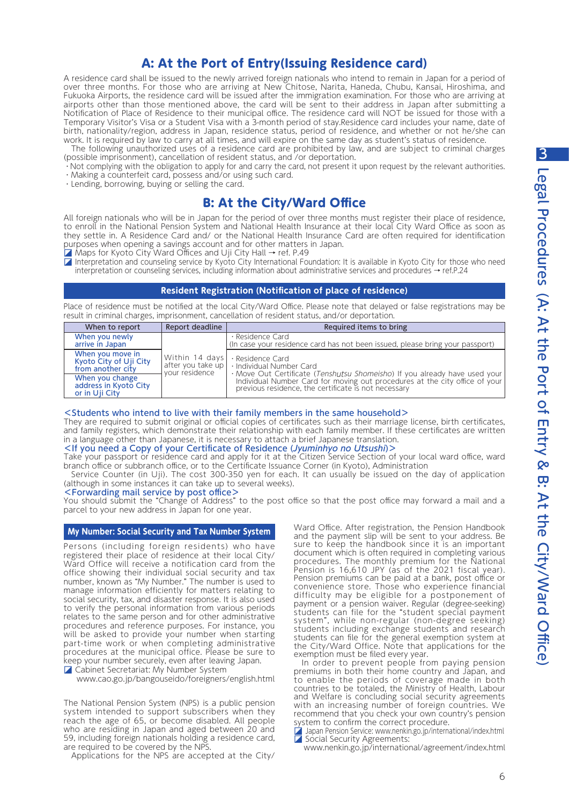# A: At the Port of Entry(Issuing Residence card)

A residence card shall be issued to the newly arrived foreign nationals who intend to remain in Japan for a period of over three months. For those who are arriving at New Chitose, Narita, Haneda, Chubu, Kansai, Hiroshima, and Fukuoka Airports, the residence card will be issued after the immigration examination. For those who are arriving at airports other than those mentioned above, the card will be sent to their address in Japan after submitting a Notification of Place of Residence to their municipal office. The residence card will NOT be issued for those with a Temporary Visitor's Visa or a Student Visa with a 3-month period of stay.Residence card includes your name, date of birth, nationality/region, address in Japan, residence status, period of residence, and whether or not he/she can work. It is required by law to carry at all times, and will expire on the same day as student's status of residence.

The following unauthorized uses of a residence card are prohibited by law, and are subject to criminal charges (possible imprisonment), cancellation of resident status, and /or deportation.

Not complying with the obligation to apply for and carry the card, not present it upon request by the relevant authorities. ・Making a counterfeit card, possess and/or using such card.

・Lending, borrowing, buying or selling the card.

# B: At the City/Ward Office

All foreign nationals who will be in Japan for the period of over three months must register their place of residence, to enroll in the National Pension System and National Health Insurance at their local City Ward Office as soon as they settle in. A Residence Card and/ or the National Health Insurance Card are often required for identification purposes when opening a savings account and for other matters in Japan.

- ◪ Maps for Kyoto City Ward Offices and Uji City Hall → ref. P.49
- Interpretation and counseling service by Kyoto City International Foundation: It is available in Kyoto City for those who need interpretation or counseling services, including information about administrative services and procedures → ref.P.24

# **Resident Registration (Notification of place of residence)**

Place of residence must be notified at the local City/Ward Office. Please note that delayed or false registrations may be result in criminal charges, imprisonment, cancellation of resident status, and/or deportation.

| When to report                                                  | Report deadline                                       | Required items to bring                                                                                                                                                                                                                                        |
|-----------------------------------------------------------------|-------------------------------------------------------|----------------------------------------------------------------------------------------------------------------------------------------------------------------------------------------------------------------------------------------------------------------|
| When you newly<br>arrive in Japan                               | Within 14 days<br>after you take up<br>your residence | · Residence Card<br>(In case your residence card has not been issued, please bring your passport)                                                                                                                                                              |
| When you move in<br>Kyoto City of Uji City<br>from another city |                                                       | · Residence Card<br>· Individual Number Card<br>· Move Out Certificate (Tenshutsu Shomeisho) If you already have used your<br>Individual Number Card for moving out procedures at the city office of your previous residence, the certificate is not necessary |
| When you change<br>address in Kyoto City<br>or in Uji City      |                                                       |                                                                                                                                                                                                                                                                |

## <Students who intend to live with their family members in the same household>

They are required to submit original or official copies of certificates such as their marriage license, birth certificates, and family registers, which demonstrate their relationship with each family member. If these certificates are written in a language other than Japanese, it is necessary to attach a brief Japanese translation.

# <If you need a Copy of your Certificate of Residence (Jyuminhyo no Utsushi)>

Take your passport or residence card and apply for it at the Citizen Service Section of your local ward office, ward branch office or subbranch office, or to the Certificate Issuance Corner (in Kyoto), Administration

 Service Counter (in Uji). The cost 300-350 yen for each. It can usually be issued on the day of application (although in some instances it can take up to several weeks).

## <Forwarding mail service by post office>

You should submit the "Change of Address" to the post office so that the post office may forward a mail and a parcel to your new address in Japan for one year.

## **My Number: Social Security and Tax Number System**

Persons (including foreign residents) who have registered their place of residence at their local City/ Ward Office will receive a notification card from the office showing their individual social security and tax number, known as "My Number." The number is used to manage information efficiently for matters relating to social security, tax, and disaster response. It is also used to verify the personal information from various periods relates to the same person and for other administrative procedures and reference purposes. For instance, you will be asked to provide your number when starting part-time work or when completing administrative procedures at the municipal office. Please be sure to keep your number securely, even after leaving Japan.

◪ Cabinet Secretariat: My Number System

www.cao.go.jp/bangouseido/foreigners/english.html

The National Pension System (NPS) is a public pension system intended to support subscribers when they reach the age of 65, or become disabled. All people who are residing in Japan and aged between 20 and 59, including foreign nationals holding a residence card, are required to be covered by the NPS.

Applications for the NPS are accepted at the City/

Ward Office. After registration, the Pension Handbook and the payment slip will be sent to your address. Be sure to keep the handbook since it is an important document which is often required in completing various procedures. The monthly premium for the National Pension is 16,610 JPY (as of the 2021 fiscal year). Pension premiums can be paid at a bank, post office or convenience store. Those who experience financial difficulty may be eligible for a postponement of payment or a pension waiver. Regular (degree-seeking) students can file for the "student special payment system", while non-regular (non-degree seeking) students including exchange students and research students can file for the general exemption system at the City/Ward Office. Note that applications for the exemption must be filed every year.

In order to prevent people from paying pension premiums in both their home country and Japan, and to enable the periods of coverage made in both countries to be totaled, the Ministry of Health, Labour and Welfare is concluding social security agreements with an increasing number of foreign countries. We recommend that you check your own country's pension system to confirm the correct procedure.

Japan Pension Service: www.nenkin.go.jp/international/index.html ◪ Social Security Agreements:

www.nenkin.go.jp/international/agreement/index.html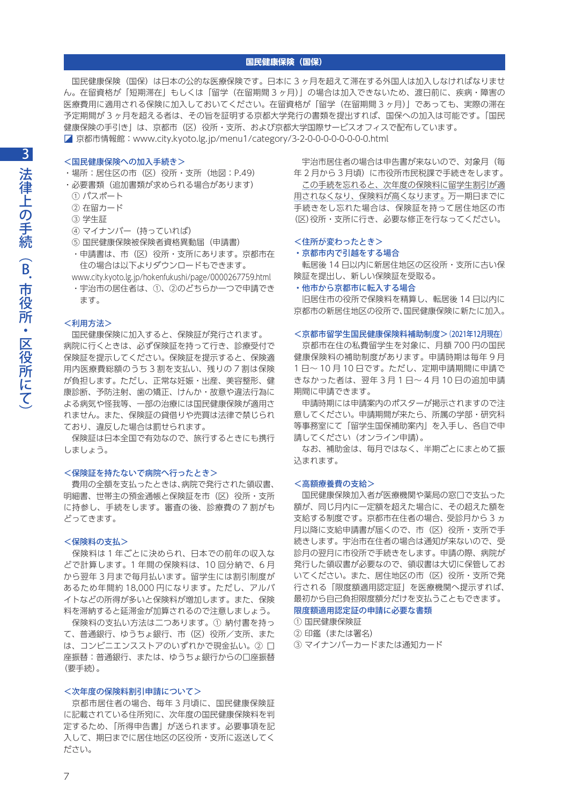## **国民健康保険(国保)**

 国民健康保険(国保)は日本の公的な医療保険です。日本に 3 ヶ月を超えて滞在する外国人は加入しなければなりませ ん。在留資格が「短期滞在」もしくは「留学(在留期間 3 ヶ月)」の場合は加入できないため、渡日前に、疾病・障害の 医療費用に適用される保険に加入しておいてください。在留資格が「留学(在留期間 3 ヶ月)」であっても、実際の滞在 予定期間が 3 ヶ月を超える者は、その旨を証明する京都大学発行の書類を提出すれば、国保への加入は可能です。「国民 健康保険の手引き」は、京都市(区)役所・支所、および京都大学国際サービスオフィスで配布しています。 ◪ 京都市情報館:www.city.kyoto.lg.jp/menu1/category/3-2-0-0-0-0-0-0-0-0.html

## <国民健康保険への加入手続き>

- ・場所:居住区の市(区)役所・支所(地図:P.49)
- ・必要書類(追加書類が求められる場合があります)
- ① パスポート
- ② 在留カード
- ③ 学生証
- ④ マイナンバー(持っていれば)
- ⑤ 国民健康保険被保険者資格異動届(申請書)
- ・申請書は、市(区)役所・支所にあります。京都市在 住の場合は以下よりダウンロードもできます。

www.city.kyoto.lg.jp/hokenfukushi/page/0000267759.html

 ・宇治市の居住者は、①、②のどちらか一つで申請でき ます。

#### <利用方法>

 国民健康保険に加入すると、保険証が発行されます。 病院に行くときは、必ず保険証を持って行き、診療受付で 保険証を提示してください。保険証を提示すると、保険適 用内医療費総額のうち 3 割を支払い、残りの 7 割は保険 が負担します。ただし、正常な妊娠・出産、美容整形、健 康診断、予防注射、歯の矯正、けんか・故意や違法行為に よる病気や怪我等、一部の治療には国民健康保険が適用さ れません。また、保険証の貸借りや売買は法律で禁じられ ており、違反した場合は罰せられます。

 保険証は日本全国で有効なので、旅行するときにも携行 しましょう。

#### <保険証を持たないで病院へ行ったとき>

 費用の全額を支払ったときは、病院で発行された領収書、 明細書、世帯主の預金通帳と保険証を市(区)役所・支所 に持参し、手続をします。審査の後、診療費の 7 割がも どってきます。

#### <保険料の支払>

 保険料は 1 年ごとに決められ、日本での前年の収入な どで計算します。1 年間の保険料は、10 回分納で、6 月 から翌年 3 月まで毎月払います。留学生には割引制度が あるため年間約 18,000 円になります。ただし、アルバ イトなどの所得が多いと保険料が増加します。また、保険 料を滞納すると延滞金が加算されるので注意しましょう。

 保険料の支払い方法は二つあります。① 納付書を持っ て、普通銀行、ゆうちょ銀行、市(区)役所/支所、また は、コンビニエンスストアのいずれかで現金払い。② 口 座振替:普通銀行、または、ゆうちょ銀行からの口座振替 (要手続)。

## <次年度の保険料割引申請について>

 京都市居住者の場合、毎年 3 月頃に、国民健康保険証 に記載されている住所宛に、次年度の国民健康保険料を判 定するため、「所得申告書」が送られます。必要事項を記 入して、期日までに居住地区の区役所・支所に返送してく ださい。

 宇治市居住者の場合は申告書が来ないので、対象月(毎 年 2 月から 3 月頃)に市役所市民税課で手続きをします。 この手続を忘れると、次年度の保険料に留学生割引が適 用されなくなり、保険料が高くなります。万一期日までに 手続きをし忘れた場合は、保険証を持って居住地区の市 (区)役所・支所に行き、必要な修正を行なってください。

## <住所が変わったとき>

## ・京都市内で引越をする場合

 転居後 14 日以内に新居住地区の区役所・支所に古い保 険証を提出し、新しい保険証を受取る。

## ・他市から京都市に転入する場合

 旧居住市の役所で保険料を精算し、転居後 14 日以内に 京都市の新居住地区の役所で、国民健康保険に新たに加入。

#### <京都市留学生国民健康保険料補助制度>(2021年12月現在)

 京都市在住の私費留学生を対象に、月額 700 円の国民 健康保険料の補助制度があります。申請時期は毎年 9 月 1 日〜 10 月 10 日です。ただし、定期申請期間に申請で きなかった者は、翌年 3 月 1 日〜 4 月 10 日の追加申請 期間に申請できます。

 申請時期には申請案内のポスターが掲示されますので注 意してください。申請期間が来たら、所属の学部・研究科 等事務室にて「留学生国保補助案内」を入手し、各自で申 請してください(オンライン申請)。

 なお、補助金は、毎月ではなく、半期ごとにまとめて振 込まれます。

#### <高額療養費の支給>

 国民健康保険加入者が医療機関や薬局の窓口で支払った 額が、同じ月内に一定額を超えた場合に、その超えた額を 支給する制度です。京都市在住者の場合、受診月から 3 ヵ 月以降に支給申請書が届くので、市(区)役所・支所で手 続きします。宇治市在住者の場合は通知が来ないので、受 診月の翌月に市役所で手続きをします。申請の際、病院が 発行した領収書が必要なので、領収書は大切に保管してお いてください。また、居住地区の市(区)役所・支所で発 行される「限度額適用認定証」を医療機関へ提示すれば、 最初から自己負担限度額分だけを支払うこともできます。

## 限度額適用認定証の申請に必要な書類

- ① 国民健康保険証
- ② 印鑑(または署名)

③ マイナンバーカードまたは通知カード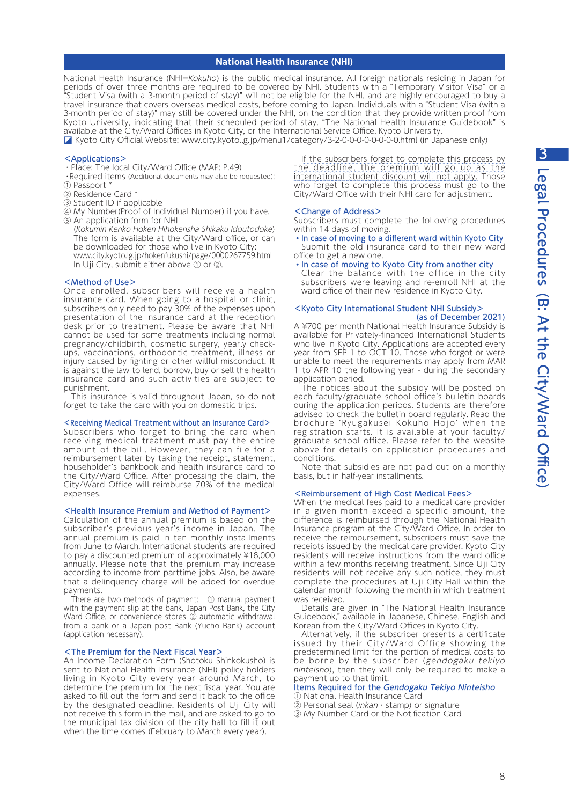## **National Health Insurance (NHI)**

National Health Insurance (NHI=Kokuho) is the public medical insurance. All foreign nationals residing in Japan for periods of over three months are required to be covered by NHI. Students with a "Temporary Visitor Visa" or a "Student Visa (with a 3-month period of stay)" will not be eligible for the NHI, and are highly encouraged to buy a travel insurance that covers overseas medical costs, before coming to Japan. Individuals with a "Student Visa (with a 3-month period of stay)" may still be covered under the NHI, on the condition that they provide written proof from Kyoto University, indicating that their scheduled period of stay. "The National Health Insurance Guidebook" is available at the City/Ward Offices in Kyoto City, or the International Service Office, Kyoto University.

◪ Kyoto City Official Website: www.city.kyoto.lg.jp/menu1/category/3-2-0-0-0-0-0-0-0-0.html (in Japanese only)

### <Applications>

- ・Place: The local City/Ward Office (MAP: P.49)
- ・Required items (Additional documents may also be requested): ① Passport \*
- ② Residence Card \*
- ③ Student ID if applicable
- ④ My Number(Proof of Individual Number) if you have.
- ⑤ An application form for NHI (Kokumin Kenko Hoken Hihokensha Shikaku Idoutodoke) The form is available at the City/Ward office, or can be downloaded for those who live in Kyoto City: www.city.kyoto.lg.jp/hokenfukushi/page/0000267759.html In Uji City, submit either above ① or ②.

#### <Method of Use>

Once enrolled, subscribers will receive a health insurance card. When going to a hospital or clinic, subscribers only need to pay 30% of the expenses upon presentation of the insurance card at the reception desk prior to treatment. Please be aware that NHI cannot be used for some treatments including normal pregnancy/childbirth, cosmetic surgery, yearly checkups, vaccinations, orthodontic treatment, illness or injury caused by fighting or other willful misconduct. It is against the law to lend, borrow, buy or sell the health insurance card and such activities are subject to punishment.

 This insurance is valid throughout Japan, so do not forget to take the card with you on domestic trips.

#### <Receiving Medical Treatment without an Insurance Card>

Subscribers who forget to bring the card when receiving medical treatment must pay the entire amount of the bill. However, they can file for a reimbursement later by taking the receipt, statement, householder's bankbook and health insurance card to the City/Ward Office. After processing the claim, the City/Ward Office will reimburse 70% of the medical expenses.

#### <Health Insurance Premium and Method of Payment>

Calculation of the annual premium is based on the subscriber's previous year's income in Japan. The annual premium is paid in ten monthly installments from June to March. International students are required to pay a discounted premium of approximately ¥18,000 annually. Please note that the premium may increase according to income from parttime jobs. Also, be aware that a delinquency charge will be added for overdue payments.

There are two methods of payment: ① manual payment with the payment slip at the bank, Japan Post Bank, the City Ward Office, or convenience stores 2 automatic withdrawal from a bank or a Japan post Bank (Yucho Bank) account (application necessary).

#### <The Premium for the Next Fiscal Year>

An Income Declaration Form (Shotoku Shinkokusho) is sent to National Health Insurance (NHI) policy holders living in Kyoto City every year around March, to determine the premium for the next fiscal year. You are asked to fill out the form and send it back to the office by the designated deadline. Residents of Uji City will not receive this form in the mail, and are asked to go to the municipal tax division of the city hall to fill it out when the time comes (February to March every year).

If the subscribers forget to complete this process by the deadline, the premium will go up as the international student discount will not apply. Those who forget to complete this process must go to the City/Ward Office with their NHI card for adjustment.

#### <Change of Address>

Subscribers must complete the following procedures within 14 days of moving.

- ・In case of moving to a different ward within Kyoto City Submit the old insurance card to their new ward office to get a new one.
- ・In case of moving to Kyoto City from another city

Clear the balance with the office in the city subscribers were leaving and re-enroll NHI at the ward office of their new residence in Kyoto City.

#### <Kyoto City International Student NHI Subsidy> (as of December 2021)

A ¥700 per month National Health Insurance Subsidy is available for Privately-financed International Students who live in Kyoto City. Applications are accepted every year from SEP 1 to OCT 10. Those who forgot or were unable to meet the requirements may apply from MAR 1 to APR 10 the following year - during the secondary application period.

 The notices about the subsidy will be posted on each faculty/graduate school office's bulletin boards during the application periods. Students are therefore advised to check the bulletin board regularly. Read the brochure 'Ryugakusei Kokuho Hojo' when the registration starts. It is available at your faculty/ graduate school office. Please refer to the website above for details on application procedures and conditions.

 Note that subsidies are not paid out on a monthly basis, but in half-year installments.

#### <Reimbursement of High Cost Medical Fees>

When the medical fees paid to a medical care provider in a given month exceed a specific amount, the difference is reimbursed through the National Health Insurance program at the City/Ward Office. In order to receive the reimbursement, subscribers must save the receipts issued by the medical care provider. Kyoto City residents will receive instructions from the ward office within a few months receiving treatment. Since Uji City residents will not receive any such notice, they must complete the procedures at Uji City Hall within the calendar month following the month in which treatment was received.

 Details are given in "The National Health Insurance Guidebook," available in Japanese, Chinese, English and Korean from the City/Ward Offices in Kyoto City.

 Alternatively, if the subscriber presents a certificate issued by their City/Ward Office showing the predetermined limit for the portion of medical costs to be borne by the subscriber (gendogaku tekiyo ninteisho), then they will only be required to make a payment up to that limit.

#### Items Required for the Gendogaku Tekiyo Ninteisho ① National Health Insurance Card

② Personal seal (inkan・stamp) or signature

③ My Number Card or the Notification Card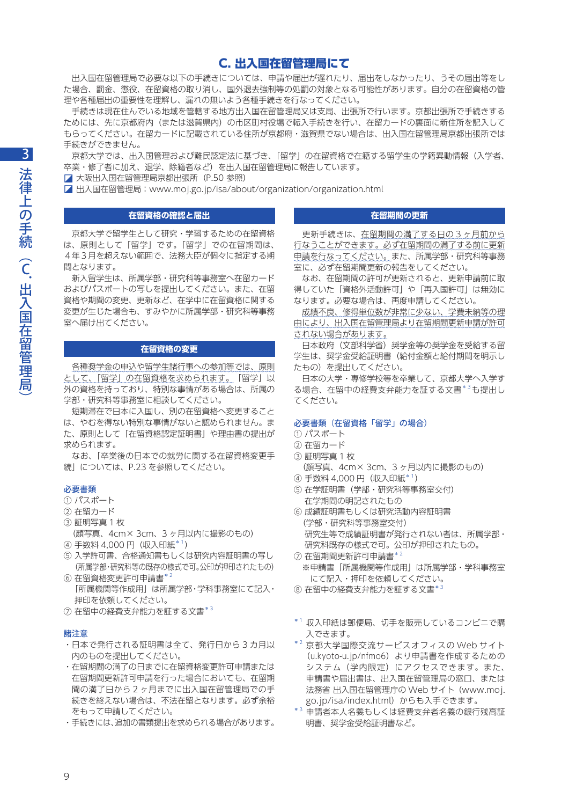# C. 出入国在留管理局にて

 出入国在留管理局で必要な以下の手続きについては、申請や届出が遅れたり、届出をしなかったり、うその届出等をし た場合、罰金、懲役、在留資格の取り消し、国外退去強制等の処罰の対象となる可能性があります。自分の在留資格の管 理や各種届出の重要性を理解し、漏れの無いよう各種手続きを行なってください。

 手続きは現在住んでいる地域を管轄する地方出入国在留管理局又は支局、出張所で行います。京都出張所で手続きする ためには、先に京都府内(または滋賀県内)の市区町村役場で転入手続きを行い、在留カードの裏面に新住所を記入して もらってください。在留カードに記載されている住所が京都府・滋賀県でない場合は、出入国在留管理局京都出張所では 手続きができません。

 京都大学では、出入国管理および難民認定法に基づき、「留学」の在留資格で在籍する留学生の学籍異動情報(入学者、 卒業・修了者に加え、退学、除籍者など)を出入国在留管理局に報告しています。

◪ 大阪出入国在留管理局京都出張所(P.50 参照)

◪ 出入国在留管理局:www.moj.go.jp/isa/about/organization/organization.html

## **在留資格の確認と届出**

 京都大学で留学生として研究・学習するための在留資格 は、原則として「留学」です。「留学」での在留期間は、 4年3月を超えない範囲で、法務大臣が個々に指定する期 間となります。

 新入留学生は、所属学部・研究科等事務室へ在留カード およびパスポートの写しを提出してください。また、在留 資格や期間の変更、更新など、在学中に在留資格に関する 変更が生じた場合も、すみやかに所属学部・研究科等事務 室へ届け出てください。

## **在留資格の変更**

各種奨学金の申込や留学生諸行事への参加等では、原則 として、「留学」の在留資格を求められます。「留学」以 外の資格を持っており、特別な事情がある場合は、所属の 学部・研究科等事務室に相談してください。

 短期滞在で日本に入国し、別の在留資格へ変更すること は、やむを得ない特別な事情がないと認められません。ま た、原則として「在留資格認定証明書」や理由書の提出が 求められます。

 なお、「卒業後の日本での就労に関する在留資格変更手 続」については、P.23 を参照してください。

## 必要書類

- ① パスポート
- ② 在留カード
- ③ 証明写真 1 枚
- (顔写真、4cm× 3cm、3 ヶ月以内に撮影のもの)
- (4) 手数料 4.000 円 (収入印紙\*1)
- ⑤ 入学許可書、合格通知書もしくは研究内容証明書の写し (所属学部・研究科等の既存の様式で可。公印が押印されたもの)

⑦ 在留中の経費支弁能力を証する文書\*3

## 諸注意

- ・日本で発行される証明書は全て、発行日から 3 カ月以 内のものを提出してください。
- ・在留期間の満了の日までに在留資格変更許可申請または 在留期間更新許可申請を行った場合においても、在留期 間の満了日から 2 ヶ月までに出入国在留管理局での手 続きを終えない場合は、不法在留となります。必ず余裕 をもって申請してください。
- ・手続きには、追加の書類提出を求められる場合があります。

## **在留期間の更新**

 更新手続きは、在留期間の満了する日の 3 ヶ月前から 行なうことができます。必ず在留期間の満了する前に更新 申請を行なってください。また、所属学部・研究科等事務 室に、必ず在留期間更新の報告をしてください。

 なお、在留期間の許可が更新されると、更新申請前に取 得していた「資格外活動許可」や「再入国許可」は無効に なります。必要な場合は、再度申請してください。

成績不良、修得単位数が非常に少ない、学費未納等の理 由により、出入国在留管理局より在留期間更新申請が許可 されない場合があります。

日本政府(文部科学省)奨学金等の奨学金を受給する留 学生は、奨学金受給証明書(給付金額と給付期間を明示し たもの)を提出してください。

 日本の大学・専修学校等を卒業して、京都大学へ入学す る場合、在留中の経費支弁能力を証する文書\*3も提出し てください。

### 必要書類(在留資格「留学」の場合)

- ① パスポート
- ② 在留カード
- ③ 証明写真 1 枚
	- (顔写真、4cm× 3cm、3 ヶ月以内に撮影のもの)
- ④ 手数料 4,000 円(収入印紙\*1)
- ⑤ 在学証明書(学部・研究科等事務室交付) 在学期間の明記されたもの
- ⑥ 成績証明書もしくは研究活動内容証明書 (学部・研究科等事務室交付) 研究生等で成績証明書が発行されない者は、所属学部・ 研究科既存の様式で可。公印が押印されたもの。
- $\odot$  在留期間更新許可申請書 $^{*2}$  ※申請書「所属機関等作成用」は所属学部・学科事務室 にて記入・押印を依頼してください。
- ⑧ 在留中の経費支弁能力を証する文書\*3
- \*1 収入印紙は郵便局、切手を販売しているコンビニで購 入できます。
- $*^{2}$  京都大学国際交流サービスオフィスの Web サイト (u.kyoto-u.jp/nfmo6)より申請書を作成するための システム(学内限定)にアクセスできます。また、 申請書や届出書は、出入国在留管理局の窓口、または 法務省 出入国在留管理庁の Web サイト(www.moj. go.jp/isa/index.html)からも入手できます。
- \*3 申請者本人名義もしくは経費支弁者名義の銀行残高証 明書、奨学金受給証明書など。

9

 $6$ 在留資格変更許可申請書 $^{\ast}$ <sup>2</sup> 「所属機関等作成用」は所属学部・学科事務室にて記入・ 押印を依頼してください。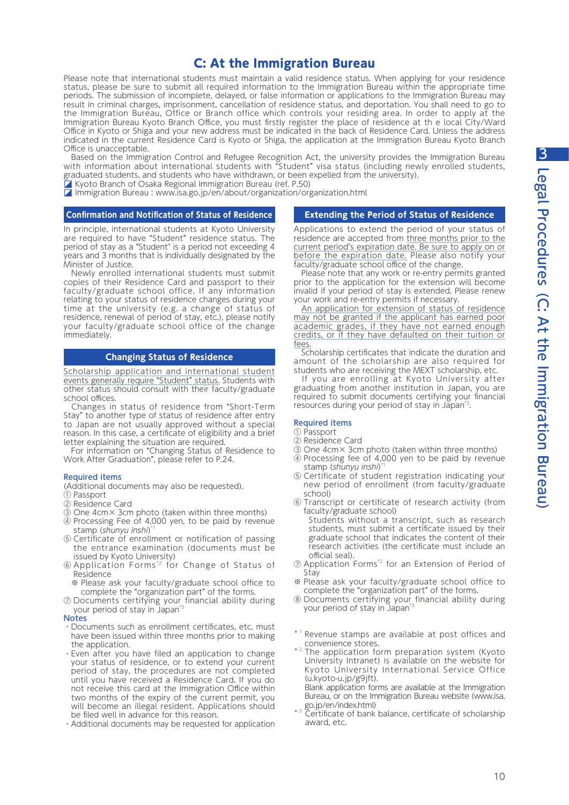# C: At the Immigration Bureau

Please note that international students must maintain a valid residence status. When applying for your residence status, please be sure to submit all required information to the Immigration Bureau within the appropriate time periods. The submission of incomplete, delayed, or false information or applications to the Immigration Bureau may result in criminal charges, imprisonment, cancellation of residence status, and deportation. You shall need to go to the Immigration Bureau, Office or Branch office which controls your residing area. In order to apply at the Immigration Bureau Kyoto Branch Office, you must firstly register the place of residence at th e local City/Ward Office in Kyoto or Shiga and your new address must be indicated in the back of Residence Card. Unless the address indicated in the current Residence Card is Kyoto or Shiga, the application at the Immigration Bureau Kyoto Branch Office is unacceptable.

 Based on the Immigration Control and Refugee Recognition Act, the university provides the Immigration Bureau with information about international students with "Student" visa status (including newly enrolled students, graduated students, and students who have withdrawn, or been expelled from the university).

◪ Kyoto Branch of Osaka Regional Immigration Bureau (ref. P.50)

◪ Immigration Bureau : www.isa.go.jp/en/about/organization/organization.html

## **Confirmation and Notification of Status of Residence**

In principle, international students at Kyoto University are required to have "Student" residence status. The period of stay as a "Student" is a period not exceeding 4 years and 3 months that is individually designated by the Minister of Justice.

 Newly enrolled international students must submit copies of their Residence Card and passport to their faculty/graduate school office. If any information relating to your status of residence changes during your time at the university (e.g. a change of status of residence, renewal of period of stay, etc.), please notify your faculty/graduate school office of the change immediately.

### **Changing Status of Residence**

Scholarship application and international student events generally require "Student" status. Students with other status should consult with their faculty/graduate school offices.

 Changes in status of residence from "Short-Term Stay" to another type of status of residence after entry to Japan are not usually approved without a special reason. In this case, a certificate of eligibility and a brief letter explaining the situation are required.

 For information on "Changing Status of Residence to Work After Graduation", please refer to P.24.

#### Required items

(Additional documents may also be requested).

- ① Passport
- ② Residence Card
- ③ One 4cm× 3cm photo (taken within three months)
- ④ Processing Fee of 4,000 yen, to be paid by revenue stamp (shunyu inshi)
- ⑤ Certificate of enrollment or notification of passing the entrance examination (documents must be issued by Kyoto University)
- ⑥ Application Forms\*2 for Change of Status of Residence
- ※ Please ask your faculty/graduate school office to complete the "organization part" of the forms.
- ⑦ Documents certifying your financial ability during your period of stay in Japan\*3

#### **Notes**

- ・Documents such as enrollment certificates, etc. must have been issued within three months prior to making the application.
- ・Even after you have filed an application to change your status of residence, or to extend your current period of stay, the procedures are not completed until you have received a Residence Card. If you do not receive this card at the Immigration Office within two months of the expiry of the current permit, you will become an illegal resident. Applications should be filed well in advance for this reason.
- ・Additional documents may be requested for application

#### **Extending the Period of Status of Residence**

Applications to extend the period of your status of residence are accepted from three months prior to the current period's expiration date. Be sure to apply on or before the expiration date. Please also notify your faculty/graduate school office of the change.

 Please note that any work or re-entry permits granted prior to the application for the extension will become invalid if your period of stay is extended. Please renew your work and re-entry permits if necessary.

An application for extension of status of residence may not be granted if the applicant has earned poor academic grades, if they have not earned enough credits, or if they have defaulted on their tuition or fees.

 Scholarship certificates that indicate the duration and amount of the scholarship are also required for students who are receiving the MEXT scholarship, etc.

 If you are enrolling at Kyoto University after graduating from another institution in Japan, you are required to submit documents certifying your financial resources during your period of stay in Japan\*3.

#### Required items

- ① Passport
- ② Residence Card
- ③ One 4cm× 3cm photo (taken within three months) ④ Processing fee of 4,000 yen to be paid by revenue
- stamp (shunyu inshi)\* ⑤ Certificate of student registration indicating your
- new period of enrollment (from faculty/graduate school)
- ⑥ Transcript or certificate of research activity (from faculty/graduate school)
	- Students without a transcript, such as research students, must submit a certificate issued by their graduate school that indicates the content of their research activities (the certificate must include an official seal).
- ⑦ Application Forms\*2 for an Extension of Period of Stay
- ※ Please ask your faculty/graduate school office to complete the "organization part" of the forms.
- ⑧ Documents certifying your financial ability during your period of stay in Japan<sup>3</sup>
- \*<sup>1</sup> Revenue stamps are available at post offices and convenience stores.
- \*<sup>2</sup> The application form preparation system (Kyoto University Intranet) is available on the website for Kyoto University International Service Office (u.kyoto-u.jp/g9jft).

Blank application forms are available at the Immigration Bureau, or on the Immigration Bureau website (www.isa. go.jp/en/index.html)<br>\*3 Certificate of bank balance, certificate of scholarship

award, etc.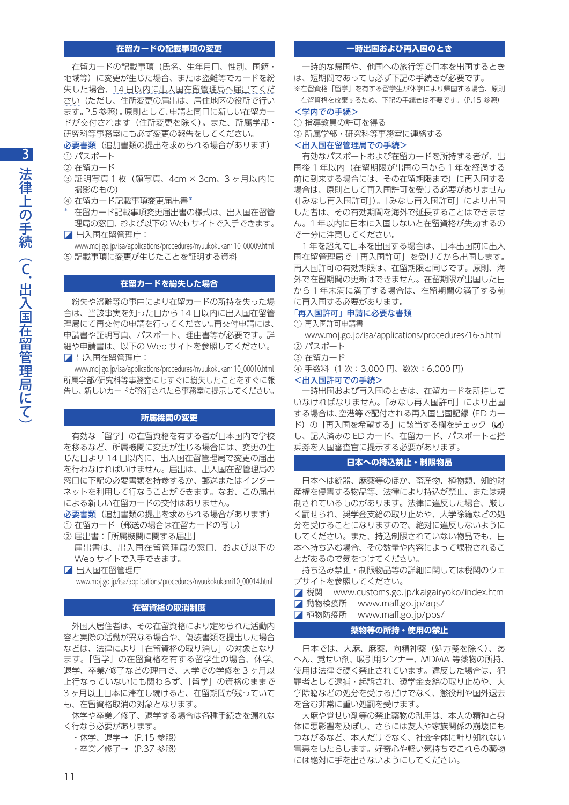## **在留カードの記載事項の変更**

 在留カードの記載事項(氏名、生年月日、性別、国籍・ 地域等)に変更が生じた場合、または盗難等でカードを紛 失した場合、14 日以内に出入国在留管理局へ届出てくだ さい(ただし、住所変更の届出は、居住地区の役所で行い ます。P.5参照)。原則として、申請と同日に新しい在留カー ドが交付されます(住所変更を除く)。また、所属学部・ 研究科等事務室にも必ず変更の報告をしてください。

必要書類(追加書類の提出を求められる場合があります)

① パスポート

② 在留カード

- ③ 証明写真 1 枚(顔写真、4cm × 3cm、3 ヶ月以内に 撮影のもの)
- ④ 在留カード記載事項変更届出書\*
- \* 在留カード記載事項変更届出書の様式は、出入国在留管 理局の窓口、および以下の Web サイトで入手できます。 ◪ 出入国在留管理庁:
- www.moj.go.jp/isa/applications/procedures/nyuukokukanri10\_00009.html ⑤ 記載事項に変更が生じたことを証明する資料

#### **在留カードを紛失した場合**

 紛失や盗難等の事由により在留カードの所持を失った場 合は、当該事実を知った日から 14 日以内に出入国在留管 理局にて再交付の申請を行ってください。再交付申請には、 申請書や証明写真、パスポート、理由書等が必要です。詳 細や申請書は、以下の Web サイトを参照してください。 ◪ 出入国在留管理庁:

 www.moj.go.jp/isa/applications/procedures/nyuukokukanri10\_00010.html 所属学部/研究科等事務室にもすぐに紛失したことをすぐに報 告し、新しいカードが発行されたら事務室に提示してください。

#### **所属機関の変更**

 有効な「留学」の在留資格を有する者が日本国内で学校 を移るなど、所属機関に変更が生じる場合には、変更の生 じた日より 14 日以内に、出入国在留管理局で変更の届出 を行わなければいけません。届出は、出入国在留管理局の 窓口に下記の必要書類を持参するか、郵送またはインター ネットを利用して行なうことができます。なお、この届出 による新しい在留カードの交付はありません。

必要書類(追加書類の提出を求められる場合があります)

- ① 在留カード(郵送の場合は在留カードの写し)
- ② 届出書:「所属機関に関する届出」 届出書は、出入国在留管理局の窓口、および以下の Web サイトで入手できます。
- ◪ 出入国在留管理庁 www.moj.go.jp/isa/applications/procedures/nyuukokukanri10\_00014.html

#### **在留資格の取消制度**

 外国人居住者は、その在留資格により定められた活動内 容と実際の活動が異なる場合や、偽装書類を提出した場合 などは、法律により「在留資格の取り消し」の対象となり ます。「留学」の在留資格を有する留学生の場合、休学、 退学、卒業/修了などの理由で、大学での学修を 3 ヶ月以 上行なっていないにも関わらず、「留学」の資格のままで 3 ヶ月以上日本に滞在し続けると、在留期間が残っていて も、在留資格取消の対象となります。

 休学や卒業/修了、退学する場合は各種手続きを漏れな く行なう必要があります。

- ・休学、退学→(P.15 参照)
- ・卒業/修了→(P.37 参照)

## **一時出国および再入国のとき**

 一時的な帰国や、他国への旅行等で日本を出国するとき は、短期間であっても必ず下記の手続きが必要です。 ※在留資格「留学」を有する留学生が休学により帰国する場合、原則

在留資格を放棄するため、下記の手続きは不要です。(P.15 参照) <学内での手続>

# ① 指導教員の許可を得る

② 所属学部・研究科等事務室に連絡する

## <出入国在留管理局での手続>

 有効なパスポートおよび在留カードを所持する者が、出 国後 1 年以内(在留期限が出国の日から 1 年を経過する 前に到来する場合には、その在留期限まで)に再入国する 場合は、原則として再入国許可を受ける必要がありません (「みなし再入国許可」)。「みなし再入国許可」により出国 した者は、その有効期間を海外で延長することはできませ ん。1 年以内に日本に入国しないと在留資格が失効するの で十分に注意してください。

 1 年を超えて日本を出国する場合は、日本出国前に出入 国在留管理局で「再入国許可」を受けてから出国します。 再入国許可の有効期限は、在留期限と同じです。原則、海 外で在留期間の更新はできません。在留期限が出国した日 から 1 年未満に満了する場合は、在留期間の満了する前 に再入国する必要があります。

#### 「再入国許可」申請に必要な書類

① 再入国許可申請書

www.moj.go.jp/isa/applications/procedures/16-5.html ② パスポート

- ③ 在留カード
- ④ 手数料(1 次:3,000 円、数次:6,000 円)

### <出入国許可での手続>

 一時出国および再入国のときは、在留カードを所持して いなければなりません。「みなし再入国許可」により出国 する場合は、空港等で配付される再入国出国記録(ED カー ド)の「再入国を希望する」に該当する欄をチェック(Ø) し、記入済みの ED カード、在留カード、パスポートと搭 乗券を入国審査官に提示する必要があります。

## **日本への持込禁止・制限物品**

 日本へは銃器、麻薬等のほか、畜産物、植物類、知的財 産権を侵害する物品等、法律により持込が禁止、または規 制されているものがあります。法律に違反した場合、厳し く罰せられ、奨学金支給の取り止めや、大学除籍などの処 分を受けることになりますので、絶対に違反しないように してください。また、持込制限されていない物品でも、日 本へ持ち込む場合、その数量や内容によって課税されるこ とがあるので気をつけてください。

 持ち込み禁止・制限物品等の詳細に関しては税関のウェ ブサイトを参照してください。

◪ 税関 www.customs.go.jp/kaigairyoko/index.htm

- ◪ 動物検疫所 www.maff.go.jp/aqs/
- ◪ 植物防疫所 www.maff.go.jp/pps/

## **薬物等の所持・使用の禁止**

 日本では、大麻、麻薬、向精神薬(処方箋を除く)、あ へん、覚せい剤、吸引用シンナー、MDMA 等薬物の所持、 使用は法律で硬く禁止されています。違反した場合は、犯 罪者として逮捕・起訴され、奨学金支給の取り止めや、大 学除籍などの処分を受けるだけでなく、懲役刑や国外退去 を含む非常に重い処罰を受けます。

 大麻や覚せい剤等の禁止薬物の乱用は、本人の精神と身 体に悪影響を及ぼし、さらには友人や家族関係の崩壊にも つながるなど、本人だけでなく、社会全体に計り知れない 害悪をもたらします。好奇心や軽い気持ちでこれらの薬物 には絶対に手を出さないようにしてください。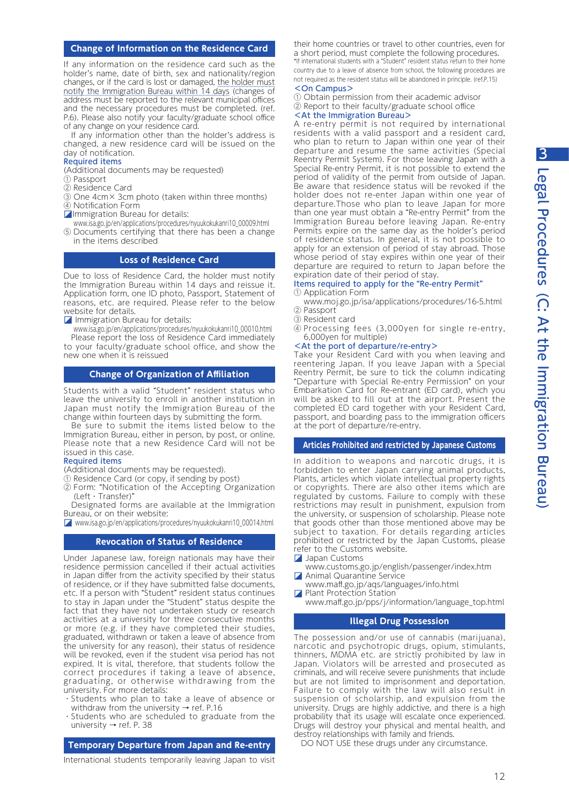# **Change of Information on the Residence Card**

If any information on the residence card such as the holder's name, date of birth, sex and nationality/region changes, or if the card is lost or damaged, the holder must notify the Immigration Bureau within 14 days (changes of address must be reported to the relevant municipal offices and the necessary procedures must be completed. (ref. P.6). Please also notify your faculty/graduate school office of any change on your residence card.

 If any information other than the holder's address is changed, a new residence card will be issued on the day of notification.

## Required items

(Additional documents may be requested)

- ① Passport
- ② Residence Card
- ③ One 4cm× 3cm photo (taken within three months) ④ Notification Form
- 
- **ZImmigration Bureau for details:** www.isa.go.jp/en/applications/procedures/nyuukokukanri10\_00009.html
- ⑤ Documents certifying that there has been a change in the items described

## **Loss of Residence Card**

Due to loss of Residence Card, the holder must notify the Immigration Bureau within 14 days and reissue it. Application form, one ID photo, Passport, Statement of reasons, etc. are required. Please refer to the below website for details.

**z** Immigration Bureau for details:

www.isa.go.jp/en/applications/procedures/nyuukokukanri10\_00010.html

 Please report the loss of Residence Card immediately to your faculty/graduate school office, and show the new one when it is reissued

## **Change of Organization of Affiliation**

Students with a valid "Student" resident status who leave the university to enroll in another institution in Japan must notify the Immigration Bureau of the change within fourteen days by submitting the form.

Be sure to submit the items listed below to the Immigration Bureau, either in person, by post, or online. Please note that a new Residence Card will not be issued in this case.

## Required items

(Additional documents may be requested).

- ① Residence Card (or copy, if sending by post)
- ② Form: "Notification of the Accepting Organization (Left・Transfer)"

 Designated forms are available at the Immigration Bureau, or on their website:

◪ www.isa.go.jp/en/applications/procedures/nyuukokukanri10\_00014.html

## **Revocation of Status of Residence**

Under Japanese law, foreign nationals may have their residence permission cancelled if their actual activities in Japan differ from the activity specified by their status of residence, or if they have submitted false documents, etc. If a person with "Student" resident status continues to stay in Japan under the "Student" status despite the fact that they have not undertaken study or research activities at a university for three consecutive months or more (e.g. if they have completed their studies, graduated, withdrawn or taken a leave of absence from the university for any reason), their status of residence will be revoked, even if the student visa period has not expired. It is vital, therefore, that students follow the correct procedures if taking a leave of absence, graduating, or otherwise withdrawing from the university. For more details:

- ・Students who plan to take a leave of absence or withdraw from the university  $\rightarrow$  ref. P.16
- ・Students who are scheduled to graduate from the university → ref. P. 38

**Temporary Departure from Japan and Re-entry**

International students temporarily leaving Japan to visit

their home countries or travel to other countries, even for a short period, must complete the following procedures. \*If international students with a "Student" resident status return to their home country due to a leave of absence from school, the following procedures are not required as the resident status will be abandoned in principle. (ref.P.15)

# <On Campus>

① Obtain permission from their academic advisor ② Report to their faculty/graduate school office <At the Immigration Bureau>

A re-entry permit is not required by international residents with a valid passport and a resident card, who plan to return to Japan within one year of their departure and resume the same activities (Special Reentry Permit System). For those leaving Japan with a Special Re-entry Permit, it is not possible to extend the period of validity of the permit from outside of Japan. Be aware that residence status will be revoked if the holder does not re-enter Japan within one year of departure.Those who plan to leave Japan for more than one year must obtain a "Re-entry Permit" from the Immigration Bureau before leaving Japan. Re-entry Permits expire on the same day as the holder's period of residence status. In general, it is not possible to apply for an extension of period of stay abroad. Those whose period of stay expires within one year of their departure are required to return to Japan before the expiration date of their period of stay.

### Items required to apply for the "Re-entry Permit" ① Application Form

# www.moj.go.jp/isa/applications/procedures/16-5.html

- ② Passport
- ③ Resident card
- ④ Processing fees (3,000yen for single re-entry, 6,000yen for multiple)

## <At the port of departure/re-entry>

Take your Resident Card with you when leaving and reentering Japan. If you leave Japan with a Special Reentry Permit, be sure to tick the column indicating "Departure with Special Re-entry Permission" on your Embarkation Card for Re-entrant (ED card), which you will be asked to fill out at the airport. Present the completed ED card together with your Resident Card, passport, and boarding pass to the immigration officers at the port of departure/re-entry.

**Articles Prohibited and restricted by Japanese Customs**

In addition to weapons and narcotic drugs, it is forbidden to enter Japan carrying animal products, Plants, articles which violate intellectual property rights or copyrights. There are also other items which are regulated by customs. Failure to comply with these restrictions may result in punishment, expulsion from the university, or suspension of scholarship. Please note that goods other than those mentioned above may be subject to taxation. For details regarding articles prohibited or restricted by the Japan Customs, please refer to the Customs website.

- ◪ Japan Customs
- www.customs.go.jp/english/passenger/index.htm ◪ Animal Quarantine Service
- www.maff.go.jp/aqs/languages/info.html
- **z** Plant Protection Station
	- www.maff.go.jp/pps/j/information/language\_top.html

## **Illegal Drug Possession**

The possession and/or use of cannabis (marijuana), narcotic and psychotropic drugs, opium, stimulants, thinners, MDMA etc. are strictly prohibited by law in Japan. Violators will be arrested and prosecuted as criminals, and will receive severe punishments that include but are not limited to imprisonment and deportation. Failure to comply with the law will also result in suspension of scholarship, and expulsion from the university. Drugs are highly addictive, and there is a high probability that its usage will escalate once experienced. Drugs will destroy your physical and mental health, and destroy relationships with family and friends.

DO NOT USE these drugs under any circumstance.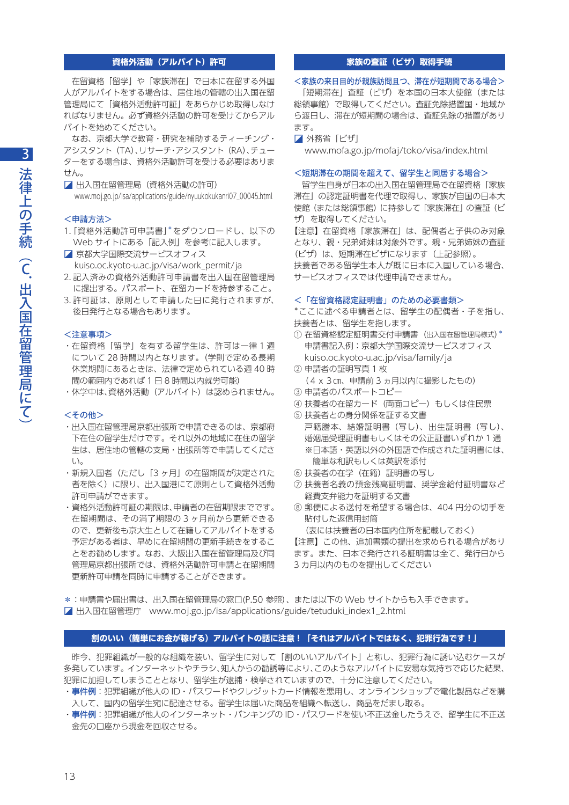## **資格外活動(アルバイト)許可**

 在留資格「留学」や「家族滞在」で日本に在留する外国 人がアルバイトをする場合は、居住地の管轄の出入国在留 管理局にて「資格外活動許可証」をあらかじめ取得しなけ ればなりません。必ず資格外活動の許可を受けてからアル バイトを始めてください。

 なお、京都大学で教育・研究を補助するティーチング・ アシスタント(TA)、リサーチ・アシスタント(RA)、チュー ターをする場合は、資格外活動許可を受ける必要はありま せん。

■ 出入国在留管理局 (資格外活動の許可) www.moj.go.jp/isa/applications/guide/nyuukokukanri07\_00045.html

#### <申請方法>

- 1.「資格外活動許可申請書」\*をダウンロードし、以下の Web サイトにある「記入例」を参考に記入します。
- 京都大学国際交流サービスオフィス kuiso.oc.kyoto-u.ac.jp/visa/work\_permit/ja 2.記入済みの資格外活動許可申請書を出入国在留管理局
- に提出する。パスポート、在留カードを持参すること。 3.許可証は、原則として申請した日に発行されますが、
- 後日発行となる場合もあります。

#### <注意事項>

- ・在留資格「留学」を有する留学生は、許可は一律 1 週 について 28 時間以内となります。(学則で定める長期 休業期間にあるときは、法律で定められている週 40 時 間の範囲内であれば 1 日 8 時間以内就労可能)
- ・休学中は、資格外活動(アルバイト)は認められません。

#### <その他>

- ・出入国在留管理局京都出張所で申請できるのは、京都府 下在住の留学生だけです。それ以外の地域に在住の留学 生は、居住地の管轄の支局・出張所等で申請してくださ  $\left\{ \cdot\right\}$
- ・新規入国者(ただし「3 ヶ月」の在留期間が決定された 者を除く)に限り、出入国港にて原則として資格外活動 許可申請ができます。
- ・資格外活動許可証の期限は、申請者の在留期限までです。 在留期間は、その満了期限の 3 ヶ月前から更新できる ので、更新後も京大生として在籍してアルバイトをする 予定がある者は、早めに在留期間の更新手続きをするこ とをお勧めします。なお、大阪出入国在留管理局及び同 管理局京都出張所では、資格外活動許可申請と在留期間 更新許可申請を同時に申請することができます。

## **家族の査証(ビザ)取得手続**

<家族の来日目的が親族訪問且つ、滞在が短期間である場合> 「短期滞在」査証(ビザ)を本国の日本大使館(または 総領事館)で取得してください。査証免除措置国・地域か ら渡日し、滞在が短期間の場合は、査証免除の措置があり ます。

#### ■■ 外務省「ビザ」

www.mofa.go.jp/mofaj/toko/visa/index.html

## <短期滞在の期間を超えて、留学生と同居する場合>

 留学生自身が日本の出入国在留管理局で在留資格「家族 滞在」の認定証明書を代理で取得し、家族が自国の日本大 使館(または総領事館)に持参して「家族滞在」の査証(ビ ザ)を取得してください。

【注意】在留資格「家族滞在」は、配偶者と子供のみ対象 となり、親・兄弟姉妹は対象外です。親・兄弟姉妹の査証 (ビザ)は、短期滞在ビザになります(上記参照)。 扶養者である留学生本人が既に日本に入国している場合、 サービスオフィスでは代理申請できません。

#### <「在留資格認定証明書」のための必要書類>

\*ここに述べる申請者とは、留学生の配偶者・子を指し、 扶養者とは、留学生を指します。

- ① 在留資格認定証明書交付申請書(出入国在留管理局様式)\* 申請書記入例:京都大学国際交流サービスオフィス kuiso.oc.kyoto-u.ac.jp/visa/family/ja
- ② 申請者の証明写真 1 枚
- (4x3㎝、申請前 3 ヵ月以内に撮影したもの)
- ③ 申請者のパスポートコピー
- ④ 扶養者の在留カード(両面コピー)もしくは住民票
- ⑤ 扶養者との身分関係を証する文書 戸籍謄本、結婚証明書(写し)、出生証明書(写し)、 婚姻届受理証明書もしくはその公正証書いずれか 1 通 ※日本語・英語以外の外国語で作成された証明書には、 簡単な和訳もしくは英訳を添付
- ⑥ 扶養者の在学(在籍)証明書の写し
- ⑦ 扶養者名義の預金残高証明書、奨学金給付証明書など 経費支弁能力を証明する文書
- ⑧ 郵便による送付を希望する場合は、404 円分の切手を 貼付した返信用封筒

(表には扶養者の日本国内住所を記載しておく)

【注意】この他、追加書類の提出を求められる場合があり ます。また、日本で発行される証明書は全て、発行日から 3 カ月以内のものを提出してください

- \*:申請書や届出書は、出入国在留管理局の窓口(P.50 参照)、または以下の Web サイトからも入手できます。
- ◪ 出入国在留管理庁 www.moj.go.jp/isa/applications/guide/tetuduki\_index1\_2.html

## **割のいい(簡単にお金が稼げる)アルバイトの話に注意!「それはアルバイトではなく、犯罪行為です!」**

 昨今、犯罪組織が一般的な組織を装い、留学生に対して「割のいいアルバイト」と称し、犯罪行為に誘い込むケースが 多発しています。インターネットやチラシ、知人からの勧誘等により、このようなアルバイトに安易な気持ちで応じた結果、 犯罪に加担してしまうこととなり、留学生が逮捕・検挙されていますので、十分に注意してください。

- ・**事件例**:犯罪組織が他人の ID・パスワードやクレジットカード情報を悪用し、オンラインショップで電化製品などを購 入して、国内の留学生宛に配達させる。留学生は届いた商品を組織へ転送し、商品をだまし取る。
- ·事件例:犯罪組織が他人のインターネット·バンキングの ID·パスワードを使い不正送金したうえで、留学生に不正送 金先の口座から現金を回収させる。